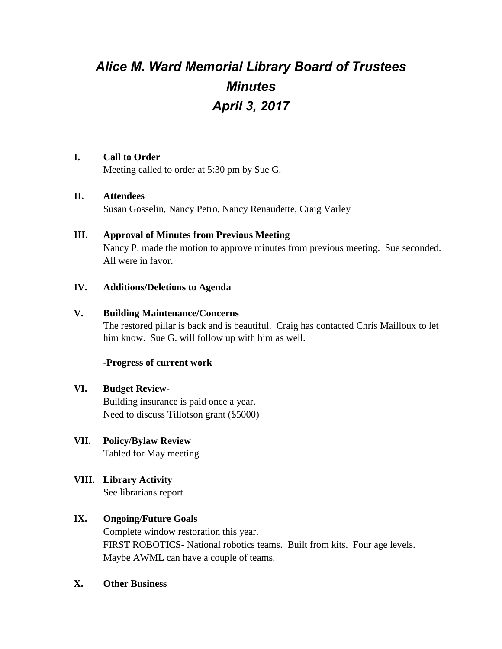# *Alice M. Ward Memorial Library Board of Trustees Minutes April 3, 2017*

#### **I. Call to Order**

Meeting called to order at 5:30 pm by Sue G.

#### **II. Attendees**

Susan Gosselin, Nancy Petro, Nancy Renaudette, Craig Varley

#### **III. Approval of Minutes from Previous Meeting**

Nancy P. made the motion to approve minutes from previous meeting. Sue seconded. All were in favor.

#### **IV. Additions/Deletions to Agenda**

#### **V. Building Maintenance/Concerns**

The restored pillar is back and is beautiful. Craig has contacted Chris Mailloux to let him know. Sue G. will follow up with him as well.

## **-Progress of current work**

## **VI. Budget Review-**

Building insurance is paid once a year. Need to discuss Tillotson grant (\$5000)

## **VII. Policy/Bylaw Review**

Tabled for May meeting

## **VIII. Library Activity**

See librarians report

## **IX. Ongoing/Future Goals**

Complete window restoration this year. FIRST ROBOTICS- National robotics teams. Built from kits. Four age levels. Maybe AWML can have a couple of teams.

#### **X. Other Business**